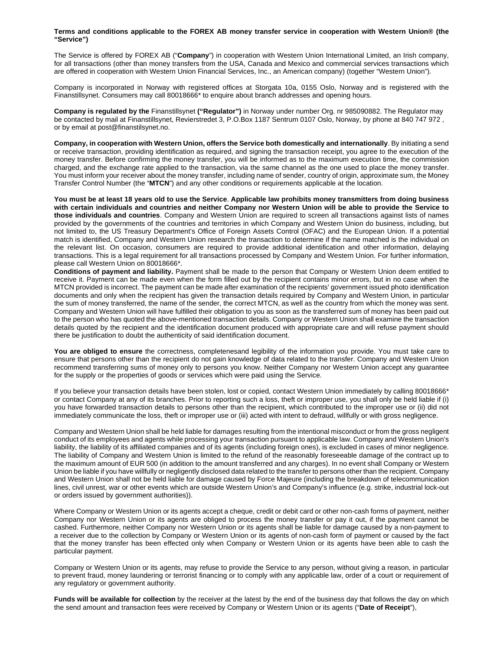## **Terms and conditions applicable to the FOREX AB money transfer service in cooperation with Western Union® (the "Service")**

The Service is offered by FOREX AB ("**Company**") in cooperation with Western Union International Limited, an Irish company, for all transactions (other than money transfers from the USA, Canada and Mexico and commercial services transactions which are offered in cooperation with Western Union Financial Services, Inc., an American company) (together "Western Union").

Company is incorporated in Norway with registered offices at Storgata 10a, 0155 Oslo, Norway and is registered with the Finanstillsynet. Consumers may call 80018666\* to enquire about branch addresses and opening hours.

**Company is regulated by the** Finanstillsynet **("Regulator")** in Norway under number Org. nr 985090882. The Regulator may be contacted by mail at Finanstillsynet, Revierstredet 3, P.O.Box 1187 Sentrum 0107 Oslo, Norway, by phone at 840 747 972 , or by email at post@finanstilsynet.no.

**Company, in cooperation with Western Union, offers the Service both domestically and internationally**. By initiating a send or receive transaction, providing identification as required, and signing the transaction receipt, you agree to the execution of the money transfer. Before confirming the money transfer, you will be informed as to the maximum execution time, the commission charged, and the exchange rate applied to the transaction, via the same channel as the one used to place the money transfer. You must inform your receiver about the money transfer, including name of sender, country of origin, approximate sum, the Money Transfer Control Number (the "**MTCN**") and any other conditions or requirements applicable at the location.

**You must be at least 18 years old to use the Service**. **Applicable law prohibits money transmitters from doing business with certain individuals and countries and neither Company nor Western Union will be able to provide the Service to those individuals and countries**. Company and Western Union are required to screen all transactions against lists of names provided by the governments of the countries and territories in which Company and Western Union do business, including, but not limited to, the US Treasury Department's Office of Foreign Assets Control (OFAC) and the European Union. If a potential match is identified, Company and Western Union research the transaction to determine if the name matched is the individual on the relevant list. On occasion, consumers are required to provide additional identification and other information, delaying transactions. This is a legal requirement for all transactions processed by Company and Western Union. For further information, please call Western Union on 80018666\*.

**Conditions of payment and liability.** Payment shall be made to the person that Company or Western Union deem entitled to receive it. Payment can be made even when the form filled out by the recipient contains minor errors, but in no case when the MTCN provided is incorrect. The payment can be made after examination of the recipients' government issued photo identification documents and only when the recipient has given the transaction details required by Company and Western Union, in particular the sum of money transferred, the name of the sender, the correct MTCN, as well as the country from which the money was sent. Company and Western Union will have fulfilled their obligation to you as soon as the transferred sum of money has been paid out to the person who has quoted the above-mentioned transaction details. Company or Western Union shall examine the transaction details quoted by the recipient and the identification document produced with appropriate care and will refuse payment should there be justification to doubt the authenticity of said identification document.

**You are obliged to ensure** the correctness, completenesand legibility of the information you provide. You must take care to ensure that persons other than the recipient do not gain knowledge of data related to the transfer. Company and Western Union recommend transferring sums of money only to persons you know. Neither Company nor Western Union accept any guarantee for the supply or the properties of goods or services which were paid using the Service.

If you believe your transaction details have been stolen, lost or copied, contact Western Union immediately by calling 80018666\* or contact Company at any of its branches. Prior to reporting such a loss, theft or improper use, you shall only be held liable if (i) you have forwarded transaction details to persons other than the recipient, which contributed to the improper use or (ii) did not immediately communicate the loss, theft or improper use or (iii) acted with intent to defraud, willfully or with gross negligence.

Company and Western Union shall be held liable for damages resulting from the intentional misconduct or from the gross negligent conduct of its employees and agents while processing your transaction pursuant to applicable law. Company and Western Union's liability, the liability of its affiliated companies and of its agents (including foreign ones), is excluded in cases of minor negligence. The liability of Company and Western Union is limited to the refund of the reasonably foreseeable damage of the contract up to the maximum amount of EUR 500 (in addition to the amount transferred and any charges). In no event shall Company or Western Union be liable if you have willfully or negligently disclosed data related to the transfer to persons other than the recipient. Company and Western Union shall not be held liable for damage caused by Force Majeure (including the breakdown of telecommunication lines, civil unrest, war or other events which are outside Western Union's and Company's influence (e.g. strike, industrial lock-out or orders issued by government authorities)).

Where Company or Western Union or its agents accept a cheque, credit or debit card or other non-cash forms of payment, neither Company nor Western Union or its agents are obliged to process the money transfer or pay it out, if the payment cannot be cashed. Furthermore, neither Company nor Western Union or its agents shall be liable for damage caused by a non-payment to a receiver due to the collection by Company or Western Union or its agents of non-cash form of payment or caused by the fact that the money transfer has been effected only when Company or Western Union or its agents have been able to cash the particular payment.

Company or Western Union or its agents, may refuse to provide the Service to any person, without giving a reason, in particular to prevent fraud, money laundering or terrorist financing or to comply with any applicable law, order of a court or requirement of any regulatory or government authority.

**Funds will be available for collection** by the receiver at the latest by the end of the business day that follows the day on which the send amount and transaction fees were received by Company or Western Union or its agents ("**Date of Receipt**"),